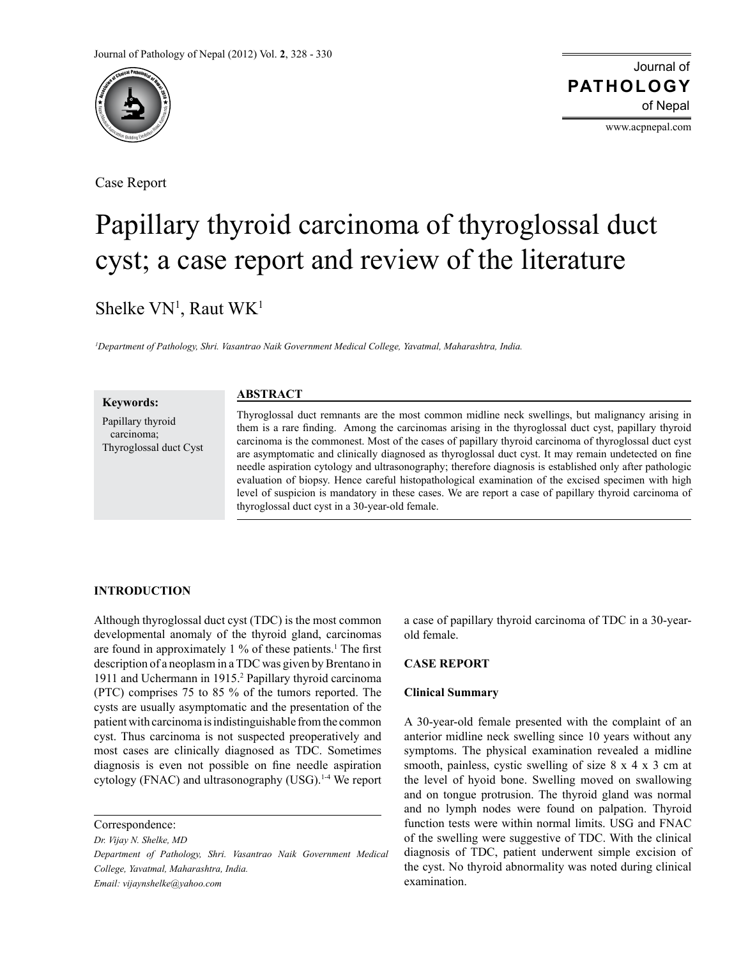

Case Report

Journal of of Nepal **PATHOLOGY**

www.acpnepal.com

# Papillary thyroid carcinoma of thyroglossal duct cyst; a case report and review of the literature

Shelke VN<sup>1</sup>, Raut WK<sup>1</sup>

*1 Department of Pathology, Shri. Vasantrao Naik Government Medical College, Yavatmal, Maharashtra, India.*

**Keywords:** Papillary thyroid carcinoma; Thyroglossal duct Cyst Thyroglossal duct remnants are the most common midline neck swellings, but malignancy arising in them is a rare finding. Among the carcinomas arising in the thyroglossal duct cyst, papillary thyroid carcinoma is the commonest. Most of the cases of papillary thyroid carcinoma of thyroglossal duct cyst are asymptomatic and clinically diagnosed as thyroglossal duct cyst. It may remain undetected on fine needle aspiration cytology and ultrasonography; therefore diagnosis is established only after pathologic evaluation of biopsy. Hence careful histopathological examination of the excised specimen with high level of suspicion is mandatory in these cases. We are report a case of papillary thyroid carcinoma of thyroglossal duct cyst in a 30-year-old female. **ABSTRACT**

### **INTRODUCTION**

Although thyroglossal duct cyst (TDC) is the most common developmental anomaly of the thyroid gland, carcinomas are found in approximately 1 % of these patients.<sup>1</sup> The first description of a neoplasm in a TDC was given by Brentano in 1911 and Uchermann in 1915.2 Papillary thyroid carcinoma (PTC) comprises 75 to 85 % of the tumors reported. The cysts are usually asymptomatic and the presentation of the patient with carcinoma is indistinguishable from the common cyst. Thus carcinoma is not suspected preoperatively and most cases are clinically diagnosed as TDC. Sometimes diagnosis is even not possible on fine needle aspiration cytology (FNAC) and ultrasonography (USG).<sup>1-4</sup> We report

*Dr. Vijay N. Shelke, MD*

*Department of Pathology, Shri. Vasantrao Naik Government Medical College, Yavatmal, Maharashtra, India. Email: vijaynshelke@yahoo.com*

a case of papillary thyroid carcinoma of TDC in a 30-yearold female.

#### **CASE REPORT**

#### **Clinical Summary**

A 30-year-old female presented with the complaint of an anterior midline neck swelling since 10 years without any symptoms. The physical examination revealed a midline smooth, painless, cystic swelling of size 8 x 4 x 3 cm at the level of hyoid bone. Swelling moved on swallowing and on tongue protrusion. The thyroid gland was normal and no lymph nodes were found on palpation. Thyroid function tests were within normal limits. USG and FNAC of the swelling were suggestive of TDC. With the clinical diagnosis of TDC, patient underwent simple excision of the cyst. No thyroid abnormality was noted during clinical examination.

Correspondence: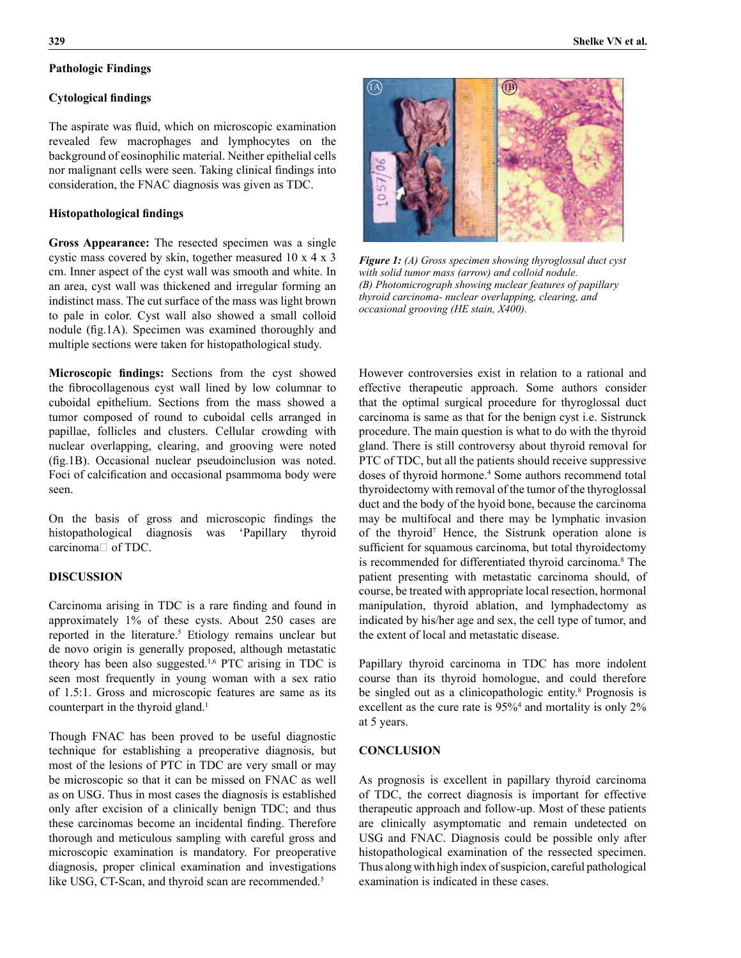# **Pathologic Findings**

### **Cytological findings**

The aspirate was fluid, which on microscopic examination revealed few macrophages and lymphocytes on the background of eosinophilic material. Neither epithelial cells nor malignant cells were seen. Taking clinical findings into consideration, the FNAC diagnosis was given as TDC.

### **Histopathological findings**

**Gross Appearance:** The resected specimen was a single cystic mass covered by skin, together measured 10 x 4 x 3 cm. Inner aspect of the cyst wall was smooth and white. In an area, cyst wall was thickened and irregular forming an indistinct mass. The cut surface of the mass was light brown to pale in color. Cyst wall also showed a small colloid nodule (fig.1A). Specimen was examined thoroughly and multiple sections were taken for histopathological study.

**Microscopic findings:** Sections from the cyst showed the fibrocollagenous cyst wall lined by low columnar to cuboidal epithelium. Sections from the mass showed a tumor composed of round to cuboidal cells arranged in papillae, follicles and clusters. Cellular crowding with nuclear overlapping, clearing, and grooving were noted (fig.1B). Occasional nuclear pseudoinclusion was noted. Foci of calcification and occasional psammoma body were seen.

On the basis of gross and microscopic findings the histopathological diagnosis was 'Papillary thyroid carcinoma $\Box$  of TDC.

## **DISCUSSION**

Carcinoma arising in TDC is a rare finding and found in approximately 1% of these cysts. About 250 cases are reported in the literature.<sup>5</sup> Etiology remains unclear but de novo origin is generally proposed, although metastatic theory has been also suggested.1,6 PTC arising in TDC is seen most frequently in young woman with a sex ratio of 1.5:1. Gross and microscopic features are same as its counterpart in the thyroid gland.<sup>1</sup>

Though FNAC has been proved to be useful diagnostic technique for establishing a preoperative diagnosis, but most of the lesions of PTC in TDC are very small or may be microscopic so that it can be missed on FNAC as well as on USG. Thus in most cases the diagnosis is established only after excision of a clinically benign TDC; and thus these carcinomas become an incidental finding. Therefore thorough and meticulous sampling with careful gross and microscopic examination is mandatory. For preoperative diagnosis, proper clinical examination and investigations like USG, CT-Scan, and thyroid scan are recommended.<sup>5</sup>



*Figure 1: (A) Gross specimen showing thyroglossal duct cyst with solid tumor mass (arrow) and colloid nodule. (B) Photomicrograph showing nuclear features of papillary thyroid carcinoma- nuclear overlapping, clearing, and occasional grooving (HE stain, X400).*

However controversies exist in relation to a rational and effective therapeutic approach. Some authors consider that the optimal surgical procedure for thyroglossal duct carcinoma is same as that for the benign cyst i.e. Sistrunck procedure. The main question is what to do with the thyroid gland. There is still controversy about thyroid removal for PTC of TDC, but all the patients should receive suppressive doses of thyroid hormone.<sup>4</sup> Some authors recommend total thyroidectomy with removal of the tumor of the thyroglossal duct and the body of the hyoid bone, because the carcinoma may be multifocal and there may be lymphatic invasion of the thyroid<sup>7</sup> Hence, the Sistrunk operation alone is sufficient for squamous carcinoma, but total thyroidectomy is recommended for differentiated thyroid carcinoma.<sup>8</sup> The patient presenting with metastatic carcinoma should, of course, be treated with appropriate local resection, hormonal manipulation, thyroid ablation, and lymphadectomy as indicated by his/her age and sex, the cell type of tumor, and the extent of local and metastatic disease.

Papillary thyroid carcinoma in TDC has more indolent course than its thyroid homologue, and could therefore be singled out as a clinicopathologic entity.<sup>8</sup> Prognosis is excellent as the cure rate is  $95\%$ <sup>4</sup> and mortality is only 2% at 5 years.

## **CONCLUSION**

As prognosis is excellent in papillary thyroid carcinoma of TDC, the correct diagnosis is important for effective therapeutic approach and follow-up. Most of these patients are clinically asymptomatic and remain undetected on USG and FNAC. Diagnosis could be possible only after histopathological examination of the ressected specimen. Thus along with high index of suspicion, careful pathological examination is indicated in these cases.